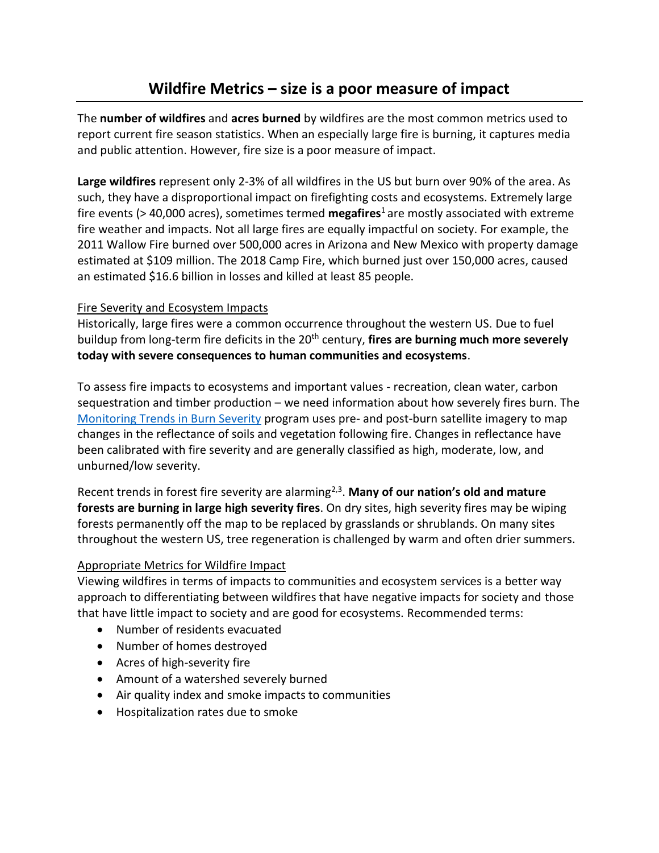The **number of wildfires** and **acres burned** by wildfires are the most common metrics used to report current fire season statistics. When an especially large fire is burning, it captures media and public attention. However, fire size is a poor measure of impact.

**Large wildfires** represent only 2-3% of all wildfires in the US but burn over 90% of the area. As such, they have a disproportional impact on firefighting costs and ecosystems. Extremely large fire events (> 40,000 acres), sometimes termed **megafires**<sup>1</sup>are mostly associated with extreme fire weather and impacts. Not all large fires are equally impactful on society. For example, the 2011 Wallow Fire burned over 500,000 acres in Arizona and New Mexico with property damage estimated at \$109 million. The 2018 Camp Fire, which burned just over 150,000 acres, caused an estimated \$16.6 billion in losses and killed at least 85 people.

## Fire Severity and Ecosystem Impacts

Historically, large fires were a common occurrence throughout the western US. Due to fuel buildup from long-term fire deficits in the 20<sup>th</sup> century, **fires are burning much more severely today with severe consequences to human communities and ecosystems**.

To assess fire impacts to ecosystems and important values - recreation, clean water, carbon sequestration and timber production – we need information about how severely fires burn. The [Monitoring Trends in Burn Severity](https://www.mtbs.gov/) program uses pre- and post-burn satellite imagery to map changes in the reflectance of soils and vegetation following fire. Changes in reflectance have been calibrated with fire severity and are generally classified as high, moderate, low, and unburned/low severity.

Recent trends in forest fire severity are alarming<sup>2,3</sup>. Many of our nation's old and mature **forests are burning in large high severity fires**. On dry sites, high severity fires may be wiping forests permanently off the map to be replaced by grasslands or shrublands. On many sites throughout the western US, tree regeneration is challenged by warm and often drier summers.

## Appropriate Metrics for Wildfire Impact

Viewing wildfires in terms of impacts to communities and ecosystem services is a better way approach to differentiating between wildfires that have negative impacts for society and those that have little impact to society and are good for ecosystems. Recommended terms:

- Number of residents evacuated
- Number of homes destroyed
- Acres of high-severity fire
- Amount of a watershed severely burned
- Air quality index and smoke impacts to communities
- Hospitalization rates due to smoke